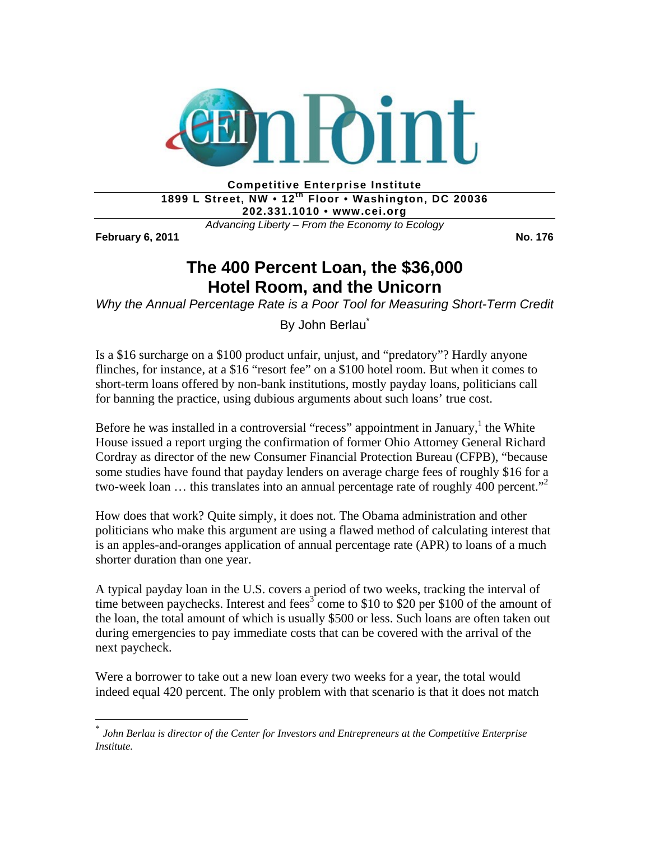

**Competitive Enterprise Institute**  1899 L Street, NW • 12<sup>th</sup> Floor • Washington, DC 20036 **202.331.1010 • www.cei.org** 

*Advancing Liberty – From the Economy to Ecology* 

**February 6, 2011 No. 176** 

1

## **The 400 Percent Loan, the \$36,000 Hotel Room, and the Unicorn**

*Why the Annual Percentage Rate is a Poor Tool for Measuring Short-Term Credit* 

By John Berlau<sup>®</sup>

Is a \$16 surcharge on a \$100 product unfair, unjust, and "predatory"? Hardly anyone flinches, for instance, at a \$16 "resort fee" on a \$100 hotel room. But when it comes to short-term loans offered by non-bank institutions, mostly payday loans, politicians call for banning the practice, using dubious arguments about such loans' true cost.

Before he was installed in a controversial "recess" appointment in January,  $^1$  the White House issued a report urging the confirmation of former Ohio Attorney General Richard Cordray as director of the new Consumer Financial Protection Bureau (CFPB), "because some studies have found that payday lenders on average charge fees of roughly \$16 for a two-week loan ... this translates into an annual percentage rate of roughly 400 percent."<sup>2</sup>

How does that work? Quite simply, it does not. The Obama administration and other politicians who make this argument are using a flawed method of calculating interest that is an apples-and-oranges application of annual percentage rate (APR) to loans of a much shorter duration than one year.

A typical payday loan in the U.S. covers a period of two weeks, tracking the interval of time between paychecks. Interest and fees<sup>3</sup> come to \$10 to \$20 per \$100 of the amount of the loan, the total amount of which is usually \$500 or less. Such loans are often taken out during emergencies to pay immediate costs that can be covered with the arrival of the next paycheck.

Were a borrower to take out a new loan every two weeks for a year, the total would indeed equal 420 percent. The only problem with that scenario is that it does not match

<sup>\*</sup> *John Berlau is director of the Center for Investors and Entrepreneurs at the Competitive Enterprise Institute.*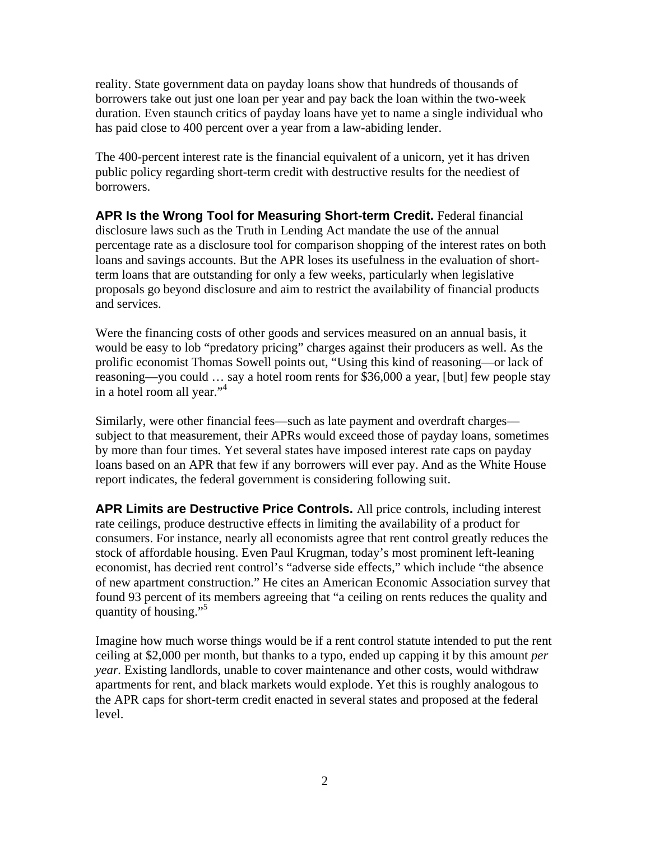reality. State government data on payday loans show that hundreds of thousands of borrowers take out just one loan per year and pay back the loan within the two-week duration. Even staunch critics of payday loans have yet to name a single individual who has paid close to 400 percent over a year from a law-abiding lender.

The 400-percent interest rate is the financial equivalent of a unicorn, yet it has driven public policy regarding short-term credit with destructive results for the neediest of borrowers.

**APR Is the Wrong Tool for Measuring Short-term Credit.** Federal financial disclosure laws such as the Truth in Lending Act mandate the use of the annual percentage rate as a disclosure tool for comparison shopping of the interest rates on both loans and savings accounts. But the APR loses its usefulness in the evaluation of shortterm loans that are outstanding for only a few weeks, particularly when legislative proposals go beyond disclosure and aim to restrict the availability of financial products and services.

Were the financing costs of other goods and services measured on an annual basis, it would be easy to lob "predatory pricing" charges against their producers as well. As the prolific economist Thomas Sowell points out, "Using this kind of reasoning—or lack of reasoning—you could … say a hotel room rents for \$36,000 a year, [but] few people stay in a hotel room all year."<sup>4</sup>

Similarly, were other financial fees—such as late payment and overdraft charges subject to that measurement, their APRs would exceed those of payday loans, sometimes by more than four times. Yet several states have imposed interest rate caps on payday loans based on an APR that few if any borrowers will ever pay. And as the White House report indicates, the federal government is considering following suit.

**APR Limits are Destructive Price Controls.** All price controls, including interest rate ceilings, produce destructive effects in limiting the availability of a product for consumers. For instance, nearly all economists agree that rent control greatly reduces the stock of affordable housing. Even Paul Krugman, today's most prominent left-leaning economist, has decried rent control's "adverse side effects," which include "the absence of new apartment construction." He cites an American Economic Association survey that found 93 percent of its members agreeing that "a ceiling on rents reduces the quality and quantity of housing."5

Imagine how much worse things would be if a rent control statute intended to put the rent ceiling at \$2,000 per month, but thanks to a typo, ended up capping it by this amount *per year.* Existing landlords, unable to cover maintenance and other costs, would withdraw apartments for rent, and black markets would explode. Yet this is roughly analogous to the APR caps for short-term credit enacted in several states and proposed at the federal level.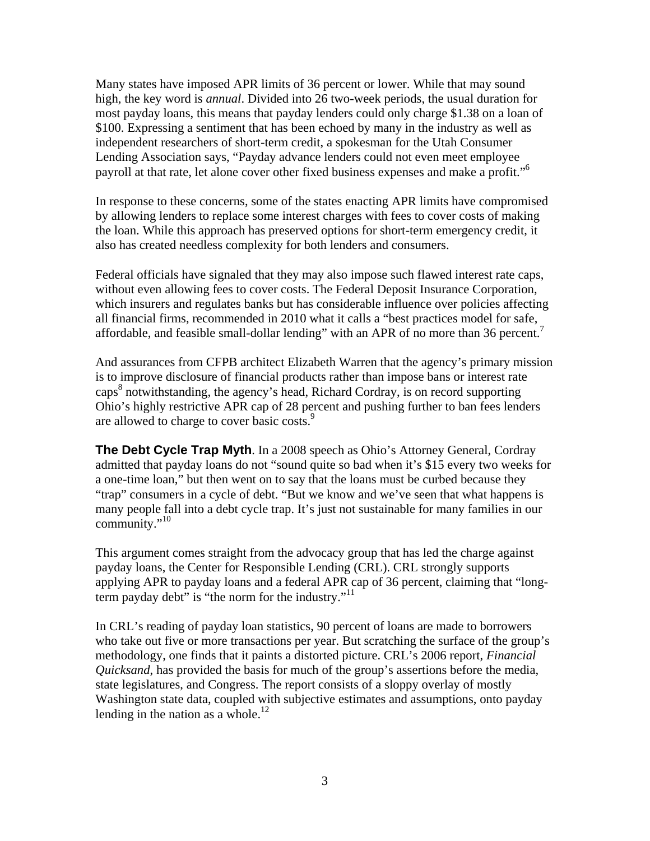Many states have imposed APR limits of 36 percent or lower. While that may sound high, the key word is *annual*. Divided into 26 two-week periods, the usual duration for most payday loans, this means that payday lenders could only charge \$1.38 on a loan of \$100. Expressing a sentiment that has been echoed by many in the industry as well as independent researchers of short-term credit, a spokesman for the Utah Consumer Lending Association says, "Payday advance lenders could not even meet employee payroll at that rate, let alone cover other fixed business expenses and make a profit."6

In response to these concerns, some of the states enacting APR limits have compromised by allowing lenders to replace some interest charges with fees to cover costs of making the loan. While this approach has preserved options for short-term emergency credit, it also has created needless complexity for both lenders and consumers.

Federal officials have signaled that they may also impose such flawed interest rate caps, without even allowing fees to cover costs. The Federal Deposit Insurance Corporation, which insurers and regulates banks but has considerable influence over policies affecting all financial firms, recommended in 2010 what it calls a "best practices model for safe, affordable, and feasible small-dollar lending" with an APR of no more than 36 percent.

And assurances from CFPB architect Elizabeth Warren that the agency's primary mission is to improve disclosure of financial products rather than impose bans or interest rate caps<sup>8</sup> notwithstanding, the agency's head, Richard Cordray, is on record supporting Ohio's highly restrictive APR cap of 28 percent and pushing further to ban fees lenders are allowed to charge to cover basic costs.<sup>9</sup>

**The Debt Cycle Trap Myth**. In a 2008 speech as Ohio's Attorney General, Cordray admitted that payday loans do not "sound quite so bad when it's \$15 every two weeks for a one-time loan," but then went on to say that the loans must be curbed because they "trap" consumers in a cycle of debt. "But we know and we've seen that what happens is many people fall into a debt cycle trap. It's just not sustainable for many families in our community." $10$ 

This argument comes straight from the advocacy group that has led the charge against payday loans, the Center for Responsible Lending (CRL). CRL strongly supports applying APR to payday loans and a federal APR cap of 36 percent, claiming that "longterm payday debt" is "the norm for the industry."<sup>11</sup>

In CRL's reading of payday loan statistics, 90 percent of loans are made to borrowers who take out five or more transactions per year. But scratching the surface of the group's methodology, one finds that it paints a distorted picture. CRL's 2006 report, *Financial Quicksand*, has provided the basis for much of the group's assertions before the media, state legislatures, and Congress. The report consists of a sloppy overlay of mostly Washington state data, coupled with subjective estimates and assumptions, onto payday lending in the nation as a whole. $^{12}$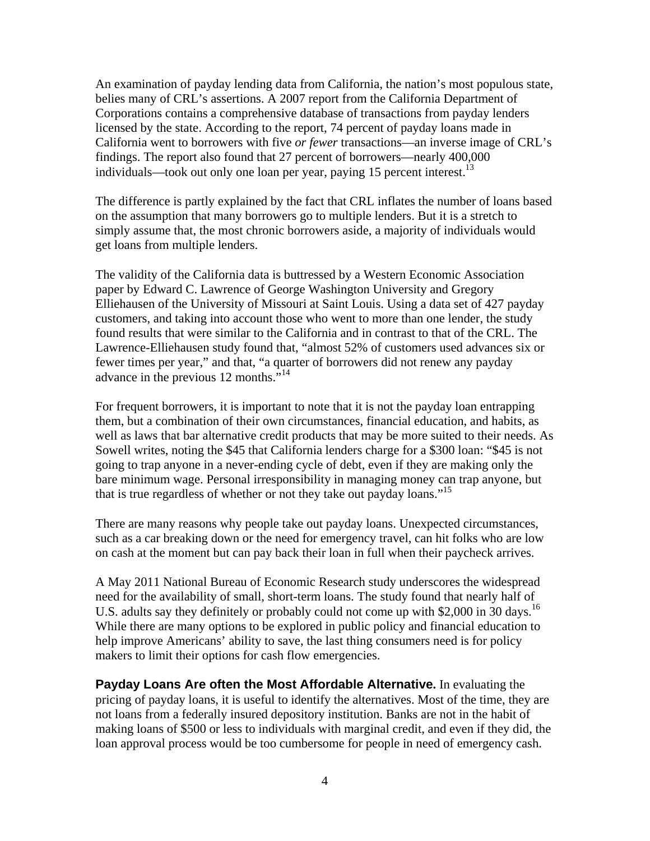An examination of payday lending data from California, the nation's most populous state, belies many of CRL's assertions. A 2007 report from the California Department of Corporations contains a comprehensive database of transactions from payday lenders licensed by the state. According to the report, 74 percent of payday loans made in California went to borrowers with five *or fewer* transactions—an inverse image of CRL's findings. The report also found that 27 percent of borrowers—nearly 400,000 individuals—took out only one loan per year, paying 15 percent interest.<sup>13</sup>

The difference is partly explained by the fact that CRL inflates the number of loans based on the assumption that many borrowers go to multiple lenders. But it is a stretch to simply assume that, the most chronic borrowers aside, a majority of individuals would get loans from multiple lenders.

The validity of the California data is buttressed by a Western Economic Association paper by Edward C. Lawrence of George Washington University and Gregory Elliehausen of the University of Missouri at Saint Louis. Using a data set of 427 payday customers, and taking into account those who went to more than one lender, the study found results that were similar to the California and in contrast to that of the CRL. The Lawrence-Elliehausen study found that, "almost 52% of customers used advances six or fewer times per year," and that, "a quarter of borrowers did not renew any payday advance in the previous 12 months."<sup>14</sup>

For frequent borrowers, it is important to note that it is not the payday loan entrapping them, but a combination of their own circumstances, financial education, and habits, as well as laws that bar alternative credit products that may be more suited to their needs. As Sowell writes, noting the \$45 that California lenders charge for a \$300 loan: "\$45 is not going to trap anyone in a never-ending cycle of debt, even if they are making only the bare minimum wage. Personal irresponsibility in managing money can trap anyone, but that is true regardless of whether or not they take out payday loans."<sup>15</sup>

There are many reasons why people take out payday loans. Unexpected circumstances, such as a car breaking down or the need for emergency travel, can hit folks who are low on cash at the moment but can pay back their loan in full when their paycheck arrives.

A May 2011 National Bureau of Economic Research study underscores the widespread need for the availability of small, short-term loans. The study found that nearly half of U.S. adults say they definitely or probably could not come up with \$2,000 in 30 days.<sup>16</sup> While there are many options to be explored in public policy and financial education to help improve Americans' ability to save, the last thing consumers need is for policy makers to limit their options for cash flow emergencies.

**Payday Loans Are often the Most Affordable Alternative.** In evaluating the pricing of payday loans, it is useful to identify the alternatives. Most of the time, they are not loans from a federally insured depository institution. Banks are not in the habit of making loans of \$500 or less to individuals with marginal credit, and even if they did, the loan approval process would be too cumbersome for people in need of emergency cash.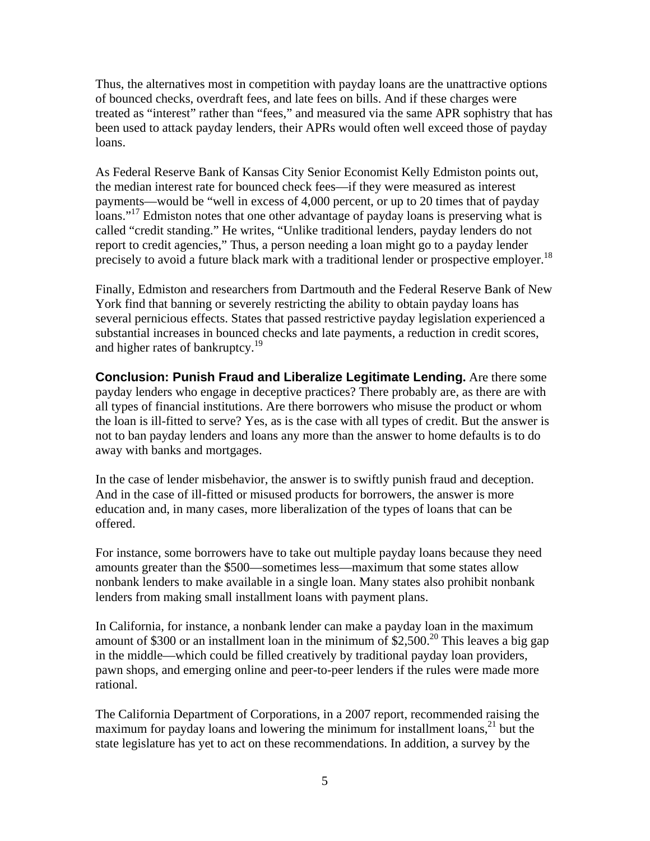Thus, the alternatives most in competition with payday loans are the unattractive options of bounced checks, overdraft fees, and late fees on bills. And if these charges were treated as "interest" rather than "fees," and measured via the same APR sophistry that has been used to attack payday lenders, their APRs would often well exceed those of payday loans.

As Federal Reserve Bank of Kansas City Senior Economist Kelly Edmiston points out, the median interest rate for bounced check fees—if they were measured as interest payments—would be "well in excess of 4,000 percent, or up to 20 times that of payday loans."<sup>17</sup> Edmiston notes that one other advantage of payday loans is preserving what is called "credit standing." He writes, "Unlike traditional lenders, payday lenders do not report to credit agencies," Thus, a person needing a loan might go to a payday lender precisely to avoid a future black mark with a traditional lender or prospective employer.<sup>18</sup>

Finally, Edmiston and researchers from Dartmouth and the Federal Reserve Bank of New York find that banning or severely restricting the ability to obtain payday loans has several pernicious effects. States that passed restrictive payday legislation experienced a substantial increases in bounced checks and late payments, a reduction in credit scores, and higher rates of bankruptcy.<sup>19</sup>

**Conclusion: Punish Fraud and Liberalize Legitimate Lending.** Are there some payday lenders who engage in deceptive practices? There probably are, as there are with all types of financial institutions. Are there borrowers who misuse the product or whom the loan is ill-fitted to serve? Yes, as is the case with all types of credit. But the answer is not to ban payday lenders and loans any more than the answer to home defaults is to do away with banks and mortgages.

In the case of lender misbehavior, the answer is to swiftly punish fraud and deception. And in the case of ill-fitted or misused products for borrowers, the answer is more education and, in many cases, more liberalization of the types of loans that can be offered.

For instance, some borrowers have to take out multiple payday loans because they need amounts greater than the \$500—sometimes less—maximum that some states allow nonbank lenders to make available in a single loan. Many states also prohibit nonbank lenders from making small installment loans with payment plans.

In California, for instance, a nonbank lender can make a payday loan in the maximum amount of \$300 or an installment loan in the minimum of \$2,500.<sup>20</sup> This leaves a big gap in the middle—which could be filled creatively by traditional payday loan providers, pawn shops, and emerging online and peer-to-peer lenders if the rules were made more rational.

The California Department of Corporations, in a 2007 report, recommended raising the maximum for payday loans and lowering the minimum for installment loans,  $2<sup>1</sup>$  but the state legislature has yet to act on these recommendations. In addition, a survey by the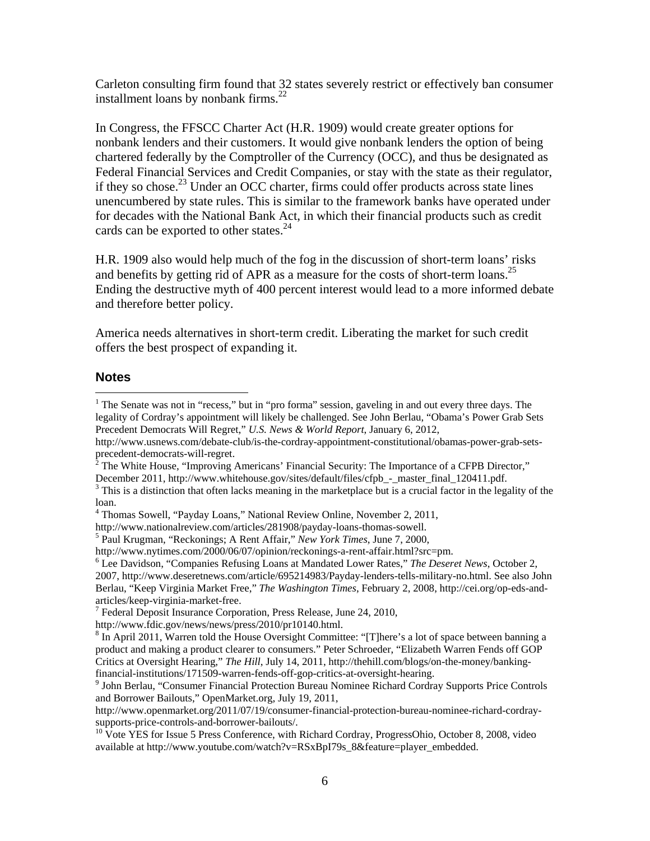Carleton consulting firm found that 32 states severely restrict or effectively ban consumer installment loans by nonbank firms. $^{22}$ 

In Congress, the FFSCC Charter Act (H.R. 1909) would create greater options for nonbank lenders and their customers. It would give nonbank lenders the option of being chartered federally by the Comptroller of the Currency (OCC), and thus be designated as Federal Financial Services and Credit Companies, or stay with the state as their regulator, if they so chose.<sup>23</sup> Under an OCC charter, firms could offer products across state lines unencumbered by state rules. This is similar to the framework banks have operated under for decades with the National Bank Act, in which their financial products such as credit cards can be exported to other states.<sup>24</sup>

H.R. 1909 also would help much of the fog in the discussion of short-term loans' risks and benefits by getting rid of APR as a measure for the costs of short-term loans.<sup>25</sup> Ending the destructive myth of 400 percent interest would lead to a more informed debate and therefore better policy.

America needs alternatives in short-term credit. Liberating the market for such credit offers the best prospect of expanding it.

## **Notes**

 $\overline{a}$ 

<sup>&</sup>lt;sup>1</sup> The Senate was not in "recess," but in "pro forma" session, gaveling in and out every three days. The legality of Cordray's appointment will likely be challenged. See John Berlau, "Obama's Power Grab Sets Precedent Democrats Will Regret," *U.S. News & World Report*, January 6, 2012,

http://www.usnews.com/debate-club/is-the-cordray-appointment-constitutional/obamas-power-grab-setsprecedent-democrats-will-regret.

<sup>&</sup>lt;sup>2</sup> The White House, "Improving Americans' Financial Security: The Importance of a CFPB Director,"

December 2011, http://www.whitehouse.gov/sites/default/files/cfpb\_-\_master\_final\_120411.pdf.

<sup>&</sup>lt;sup>3</sup> This is a distinction that often lacks meaning in the marketplace but is a crucial factor in the legality of the loan.

<sup>4</sup> Thomas Sowell, "Payday Loans," National Review Online, November 2, 2011,

http://www.nationalreview.com/articles/281908/payday-loans-thomas-sowell. 5

Paul Krugman, "Reckonings; A Rent Affair," *New York Times*, June 7, 2000,

http://www.nytimes.com/2000/06/07/opinion/reckonings-a-rent-affair.html?src=pm.

Lee Davidson, "Companies Refusing Loans at Mandated Lower Rates," *The Deseret News*, October 2, 2007, http://www.deseretnews.com/article/695214983/Payday-lenders-tells-military-no.html. See also John Berlau, "Keep Virginia Market Free," *The Washington Times*, February 2, 2008, http://cei.org/op-eds-andarticles/keep-virginia-market-free. 7

 $<sup>7</sup>$  Federal Deposit Insurance Corporation, Press Release, June 24, 2010,</sup>

http://www.fdic.gov/news/news/press/2010/pr10140.html. 8

 ${}^{8}$  In April 2011, Warren told the House Oversight Committee: "[T]here's a lot of space between banning a product and making a product clearer to consumers." Peter Schroeder, "Elizabeth Warren Fends off GOP Critics at Oversight Hearing," *The Hill*, July 14, 2011, http://thehill.com/blogs/on-the-money/bankingfinancial-institutions/171509-warren-fends-off-gop-critics-at-oversight-hearing. 9

<sup>&</sup>lt;sup>9</sup> John Berlau, "Consumer Financial Protection Bureau Nominee Richard Cordray Supports Price Controls and Borrower Bailouts," OpenMarket.org, July 19, 2011,

http://www.openmarket.org/2011/07/19/consumer-financial-protection-bureau-nominee-richard-cordraysupports-price-controls-and-borrower-bailouts/.

<sup>&</sup>lt;sup>10</sup> Vote YES for Issue 5 Press Conference, with Richard Cordray, ProgressOhio, October 8, 2008, video available at http://www.youtube.com/watch?v=RSxBpI79s\_8&feature=player\_embedded.